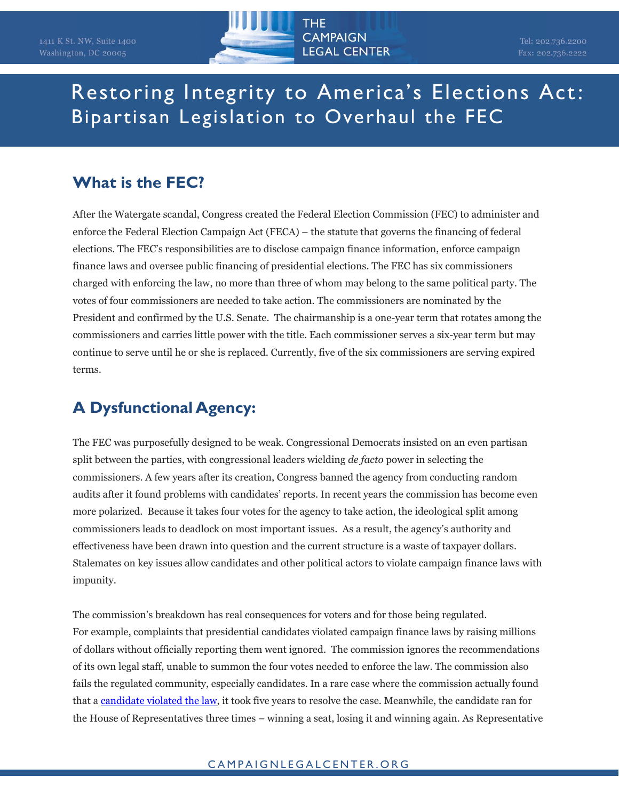

## Restoring Integrity to America's Elections Act: Bipartisan Legislation to Overhaul the FEC

## **What is the FEC?**

After the Watergate scandal, Congress created the Federal Election Commission (FEC) to administer and enforce the Federal Election Campaign Act (FECA) – the statute that governs the financing of federal elections. The FEC's responsibilities are to disclose campaign finance information, enforce campaign finance laws and oversee public financing of presidential elections. The FEC has six commissioners charged with enforcing the law, no more than three of whom may belong to the same political party. The votes of four commissioners are needed to take action. The commissioners are nominated by the President and confirmed by the U.S. Senate. The chairmanship is a one-year term that rotates among the commissioners and carries little power with the title. Each commissioner serves a six-year term but may continue to serve until he or she is replaced. Currently, five of the six commissioners are serving expired terms.

## **A Dysfunctional Agency:**

The FEC was purposefully designed to be weak. Congressional Democrats insisted on an even partisan split between the parties, with congressional leaders wielding *de facto* power in selecting the commissioners. A few years after its creation, Congress banned the agency from conducting random audits after it found problems with candidates' reports. In recent years the commission has become even more polarized. Because it takes four votes for the agency to take action, the ideological split among commissioners leads to deadlock on most important issues. As a result, the agency's authority and effectiveness have been drawn into question and the current structure is a waste of taxpayer dollars. Stalemates on key issues allow candidates and other political actors to violate campaign finance laws with impunity.

The commission's breakdown has real consequences for voters and for those being regulated. For example, complaints that presidential candidates violated campaign finance laws by raising millions of dollars without officially reporting them went ignored. The commission ignores the recommendations of its own legal staff, unable to summon the four votes needed to enforce the law. The commission also fails the regulated community, especially candidates. In a rare case where the commission actually found that [a candidate violated the law,](http://www.unionleader.com/Guinta-faces-fresh-campaign-finance-complaint-06222016) it took five years to resolve the case. Meanwhile, the candidate ran for the House of Representatives three times – winning a seat, losing it and winning again. As Representative